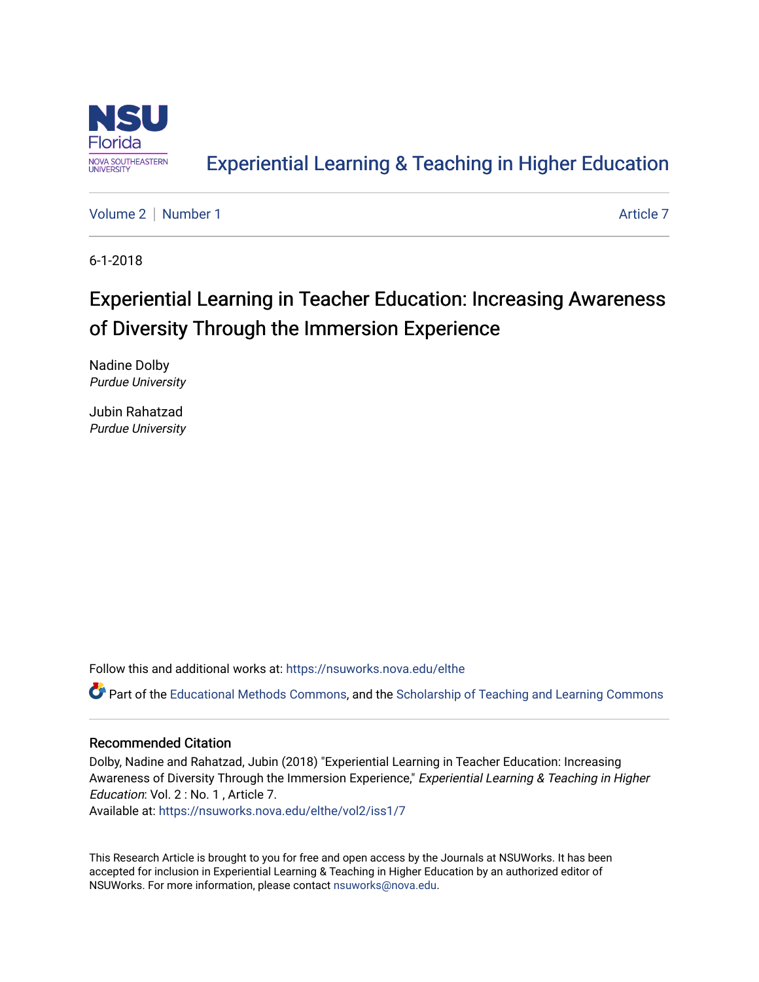

## [Experiential Learning & Teaching in Higher Education](https://nsuworks.nova.edu/elthe)

[Volume 2](https://nsuworks.nova.edu/elthe/vol2) | [Number 1](https://nsuworks.nova.edu/elthe/vol2/iss1) [Article 7](https://nsuworks.nova.edu/elthe/vol2/iss1/7) Article 7 Article 7 Article 7 Article 7 Article 7 Article 7 Article 7 Article 7

6-1-2018

# Experiential Learning in Teacher Education: Increasing Awareness of Diversity Through the Immersion Experience

Nadine Dolby Purdue University

Jubin Rahatzad Purdue University

Follow this and additional works at: [https://nsuworks.nova.edu/elthe](https://nsuworks.nova.edu/elthe?utm_source=nsuworks.nova.edu%2Felthe%2Fvol2%2Fiss1%2F7&utm_medium=PDF&utm_campaign=PDFCoverPages)

Part of the [Educational Methods Commons,](http://network.bepress.com/hgg/discipline/1227?utm_source=nsuworks.nova.edu%2Felthe%2Fvol2%2Fiss1%2F7&utm_medium=PDF&utm_campaign=PDFCoverPages) and the [Scholarship of Teaching and Learning Commons](http://network.bepress.com/hgg/discipline/1328?utm_source=nsuworks.nova.edu%2Felthe%2Fvol2%2Fiss1%2F7&utm_medium=PDF&utm_campaign=PDFCoverPages) 

#### Recommended Citation

Dolby, Nadine and Rahatzad, Jubin (2018) "Experiential Learning in Teacher Education: Increasing Awareness of Diversity Through the Immersion Experience," Experiential Learning & Teaching in Higher Education: Vol. 2 : No. 1 , Article 7.

Available at: [https://nsuworks.nova.edu/elthe/vol2/iss1/7](https://nsuworks.nova.edu/elthe/vol2/iss1/7?utm_source=nsuworks.nova.edu%2Felthe%2Fvol2%2Fiss1%2F7&utm_medium=PDF&utm_campaign=PDFCoverPages)

This Research Article is brought to you for free and open access by the Journals at NSUWorks. It has been accepted for inclusion in Experiential Learning & Teaching in Higher Education by an authorized editor of NSUWorks. For more information, please contact [nsuworks@nova.edu](mailto:nsuworks@nova.edu).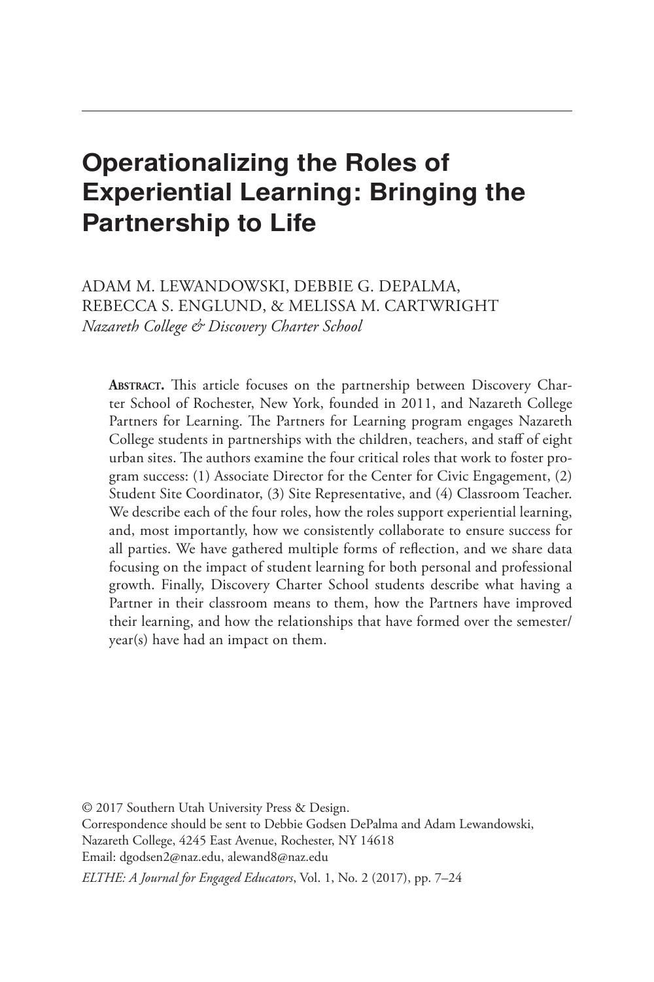## Operationalizing the Roles of Experiential Learning: Bringing the Partnership to Life

ADAM M. LEWANDOWSKI, DEBBIE G. DEPALMA, REBECCA S. ENGLUND, & MELISSA M. CARTWRIGHT *Nazareth College & Discovery Charter School*

**Abstract.** This article focuses on the partnership between Discovery Charter School of Rochester, New York, founded in 2011, and Nazareth College Partners for Learning. The Partners for Learning program engages Nazareth College students in partnerships with the children, teachers, and staff of eight urban sites. The authors examine the four critical roles that work to foster program success: (1) Associate Director for the Center for Civic Engagement, (2) Student Site Coordinator, (3) Site Representative, and (4) Classroom Teacher. We describe each of the four roles, how the roles support experiential learning, and, most importantly, how we consistently collaborate to ensure success for all parties. We have gathered multiple forms of reflection, and we share data focusing on the impact of student learning for both personal and professional growth. Finally, Discovery Charter School students describe what having a Partner in their classroom means to them, how the Partners have improved their learning, and how the relationships that have formed over the semester/ year(s) have had an impact on them.

© 2017 Southern Utah University Press & Design. Correspondence should be sent to Debbie Godsen DePalma and Adam Lewandowski, Nazareth College, 4245 East Avenue, Rochester, NY 14618 Email: dgodsen2@naz.edu, alewand8@naz.edu

*ELTHE: A Journal for Engaged Educators*, Vol. 1, No. 2 (2017), pp. 7–24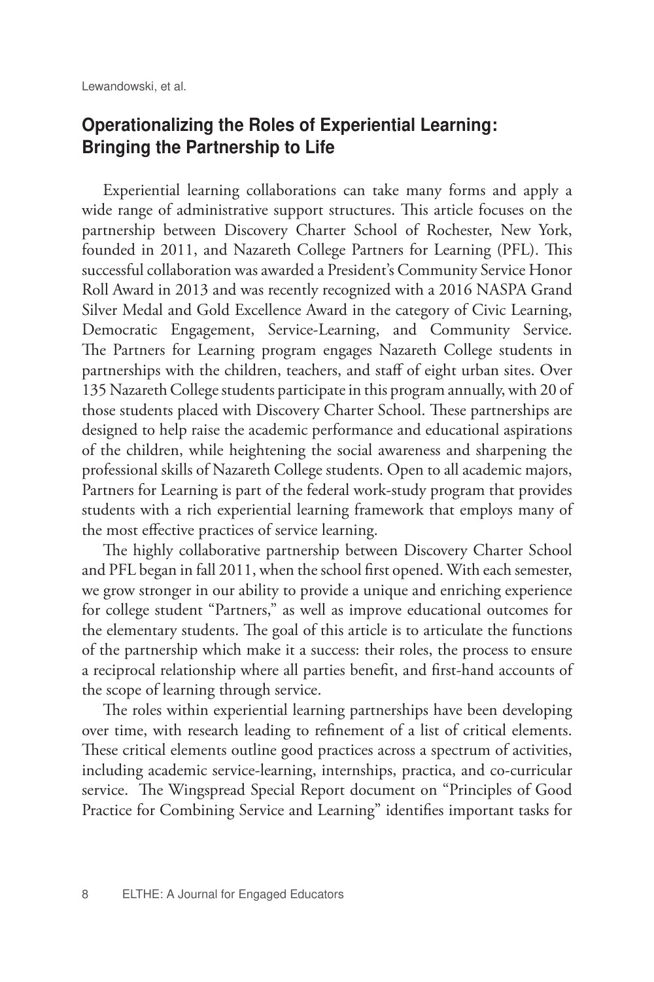#### Operationalizing the Roles of Experiential Learning: Bringing the Partnership to Life

Experiential learning collaborations can take many forms and apply a wide range of administrative support structures. This article focuses on the partnership between Discovery Charter School of Rochester, New York, founded in 2011, and Nazareth College Partners for Learning (PFL). This successful collaboration was awarded a President's Community Service Honor Roll Award in 2013 and was recently recognized with a 2016 NASPA Grand Silver Medal and Gold Excellence Award in the category of Civic Learning, Democratic Engagement, Service-Learning, and Community Service. The Partners for Learning program engages Nazareth College students in partnerships with the children, teachers, and staff of eight urban sites. Over 135 Nazareth College students participate in this program annually, with 20 of those students placed with Discovery Charter School. These partnerships are designed to help raise the academic performance and educational aspirations of the children, while heightening the social awareness and sharpening the professional skills of Nazareth College students. Open to all academic majors, Partners for Learning is part of the federal work-study program that provides students with a rich experiential learning framework that employs many of the most effective practices of service learning.

The highly collaborative partnership between Discovery Charter School and PFL began in fall 2011, when the school first opened. With each semester, we grow stronger in our ability to provide a unique and enriching experience for college student "Partners," as well as improve educational outcomes for the elementary students. The goal of this article is to articulate the functions of the partnership which make it a success: their roles, the process to ensure a reciprocal relationship where all parties benefit, and first-hand accounts of the scope of learning through service.

The roles within experiential learning partnerships have been developing over time, with research leading to refinement of a list of critical elements. These critical elements outline good practices across a spectrum of activities, including academic service-learning, internships, practica, and co-curricular service. The Wingspread Special Report document on "Principles of Good Practice for Combining Service and Learning" identifies important tasks for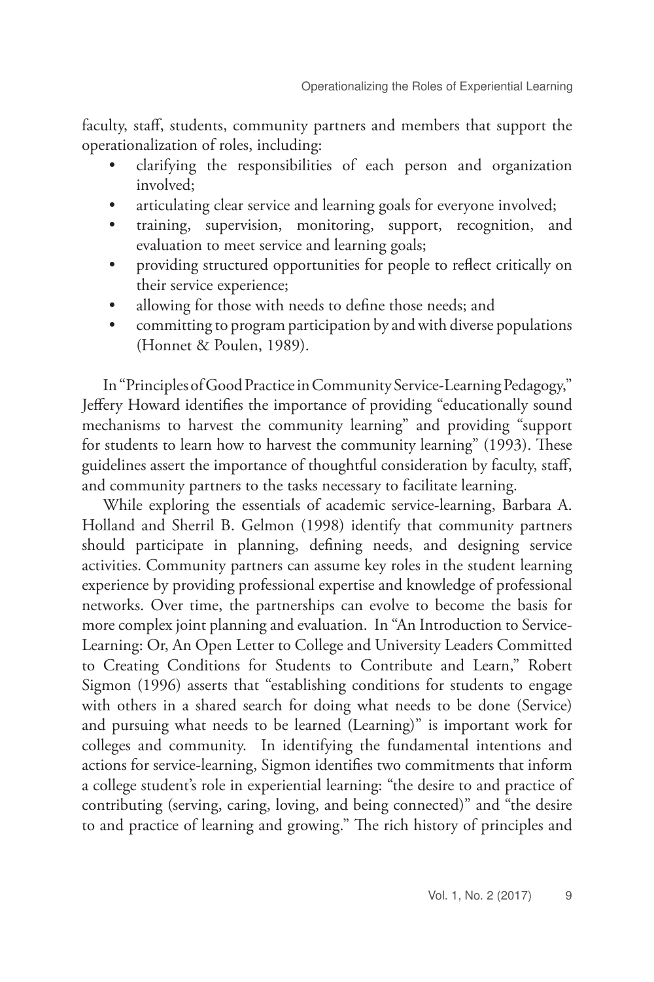faculty, staff, students, community partners and members that support the operationalization of roles, including:

- clarifying the responsibilities of each person and organization involved;
- articulating clear service and learning goals for everyone involved;
- training, supervision, monitoring, support, recognition, and evaluation to meet service and learning goals;
- providing structured opportunities for people to reflect critically on their service experience;
- allowing for those with needs to define those needs; and
- committing to program participation by and with diverse populations (Honnet & Poulen, 1989).

In "Principles of Good Practice in Community Service-Learning Pedagogy," Jeffery Howard identifies the importance of providing "educationally sound mechanisms to harvest the community learning" and providing "support for students to learn how to harvest the community learning" (1993). These guidelines assert the importance of thoughtful consideration by faculty, staff, and community partners to the tasks necessary to facilitate learning.

While exploring the essentials of academic service-learning, Barbara A. Holland and Sherril B. Gelmon (1998) identify that community partners should participate in planning, defining needs, and designing service activities. Community partners can assume key roles in the student learning experience by providing professional expertise and knowledge of professional networks. Over time, the partnerships can evolve to become the basis for more complex joint planning and evaluation. In "An Introduction to Service-Learning: Or, An Open Letter to College and University Leaders Committed to Creating Conditions for Students to Contribute and Learn," Robert Sigmon (1996) asserts that "establishing conditions for students to engage with others in a shared search for doing what needs to be done (Service) and pursuing what needs to be learned (Learning)" is important work for colleges and community. In identifying the fundamental intentions and actions for service-learning, Sigmon identifies two commitments that inform a college student's role in experiential learning: "the desire to and practice of contributing (serving, caring, loving, and being connected)" and "the desire to and practice of learning and growing." The rich history of principles and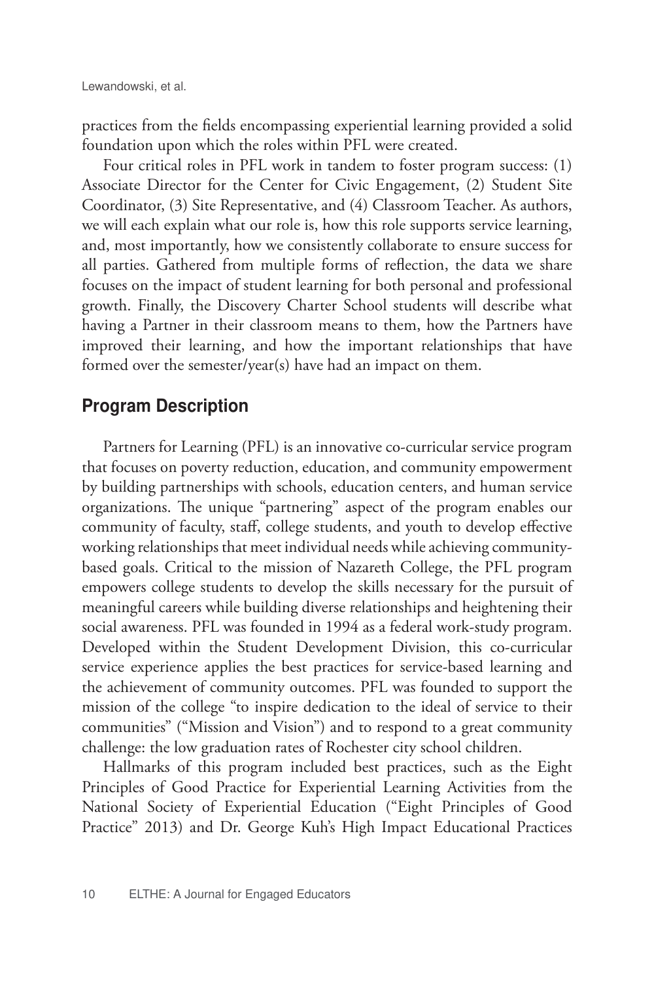practices from the fields encompassing experiential learning provided a solid foundation upon which the roles within PFL were created.

Four critical roles in PFL work in tandem to foster program success: (1) Associate Director for the Center for Civic Engagement, (2) Student Site Coordinator, (3) Site Representative, and (4) Classroom Teacher. As authors, we will each explain what our role is, how this role supports service learning, and, most importantly, how we consistently collaborate to ensure success for all parties. Gathered from multiple forms of reflection, the data we share focuses on the impact of student learning for both personal and professional growth. Finally, the Discovery Charter School students will describe what having a Partner in their classroom means to them, how the Partners have improved their learning, and how the important relationships that have formed over the semester/year(s) have had an impact on them.

#### Program Description

Partners for Learning (PFL) is an innovative co-curricular service program that focuses on poverty reduction, education, and community empowerment by building partnerships with schools, education centers, and human service organizations. The unique "partnering" aspect of the program enables our community of faculty, staff, college students, and youth to develop effective working relationships that meet individual needs while achieving communitybased goals. Critical to the mission of Nazareth College, the PFL program empowers college students to develop the skills necessary for the pursuit of meaningful careers while building diverse relationships and heightening their social awareness. PFL was founded in 1994 as a federal work-study program. Developed within the Student Development Division, this co-curricular service experience applies the best practices for service-based learning and the achievement of community outcomes. PFL was founded to support the mission of the college "to inspire dedication to the ideal of service to their communities" ("Mission and Vision") and to respond to a great community challenge: the low graduation rates of Rochester city school children.

Hallmarks of this program included best practices, such as the Eight Principles of Good Practice for Experiential Learning Activities from the National Society of Experiential Education ("Eight Principles of Good Practice" 2013) and Dr. George Kuh's High Impact Educational Practices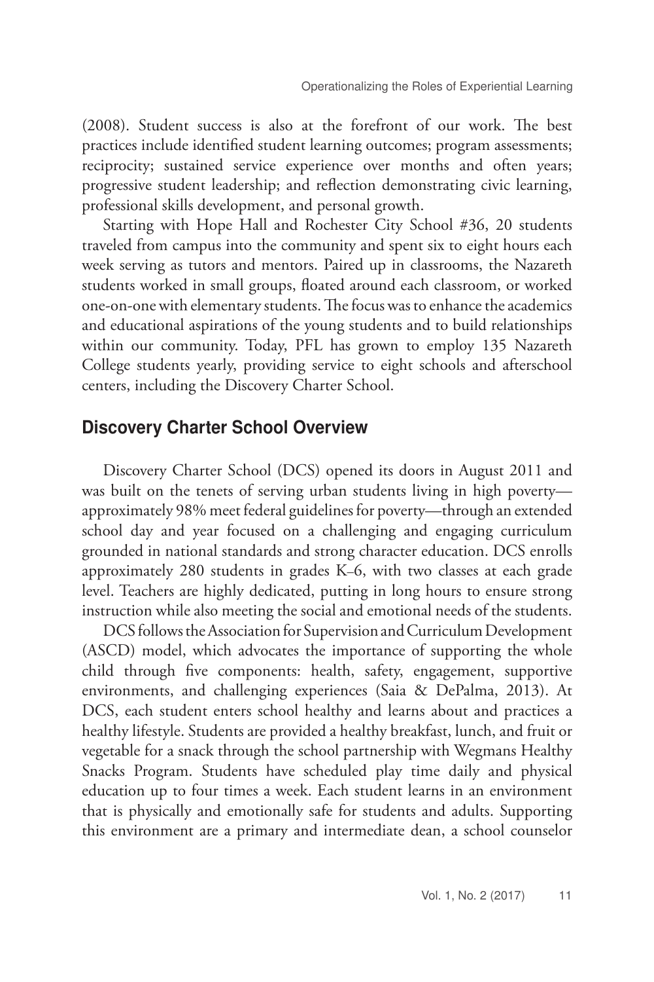(2008). Student success is also at the forefront of our work. The best practices include identified student learning outcomes; program assessments; reciprocity; sustained service experience over months and often years; progressive student leadership; and reflection demonstrating civic learning, professional skills development, and personal growth.

Starting with Hope Hall and Rochester City School #36, 20 students traveled from campus into the community and spent six to eight hours each week serving as tutors and mentors. Paired up in classrooms, the Nazareth students worked in small groups, floated around each classroom, or worked one-on-one with elementary students. The focus was to enhance the academics and educational aspirations of the young students and to build relationships within our community. Today, PFL has grown to employ 135 Nazareth College students yearly, providing service to eight schools and afterschool centers, including the Discovery Charter School.

#### Discovery Charter School Overview

Discovery Charter School (DCS) opened its doors in August 2011 and was built on the tenets of serving urban students living in high poverty approximately 98% meet federal guidelines for poverty—through an extended school day and year focused on a challenging and engaging curriculum grounded in national standards and strong character education. DCS enrolls approximately 280 students in grades K–6, with two classes at each grade level. Teachers are highly dedicated, putting in long hours to ensure strong instruction while also meeting the social and emotional needs of the students.

DCS follows the Association for Supervision and Curriculum Development (ASCD) model, which advocates the importance of supporting the whole child through five components: health, safety, engagement, supportive environments, and challenging experiences (Saia & DePalma, 2013). At DCS, each student enters school healthy and learns about and practices a healthy lifestyle. Students are provided a healthy breakfast, lunch, and fruit or vegetable for a snack through the school partnership with Wegmans Healthy Snacks Program. Students have scheduled play time daily and physical education up to four times a week. Each student learns in an environment that is physically and emotionally safe for students and adults. Supporting this environment are a primary and intermediate dean, a school counselor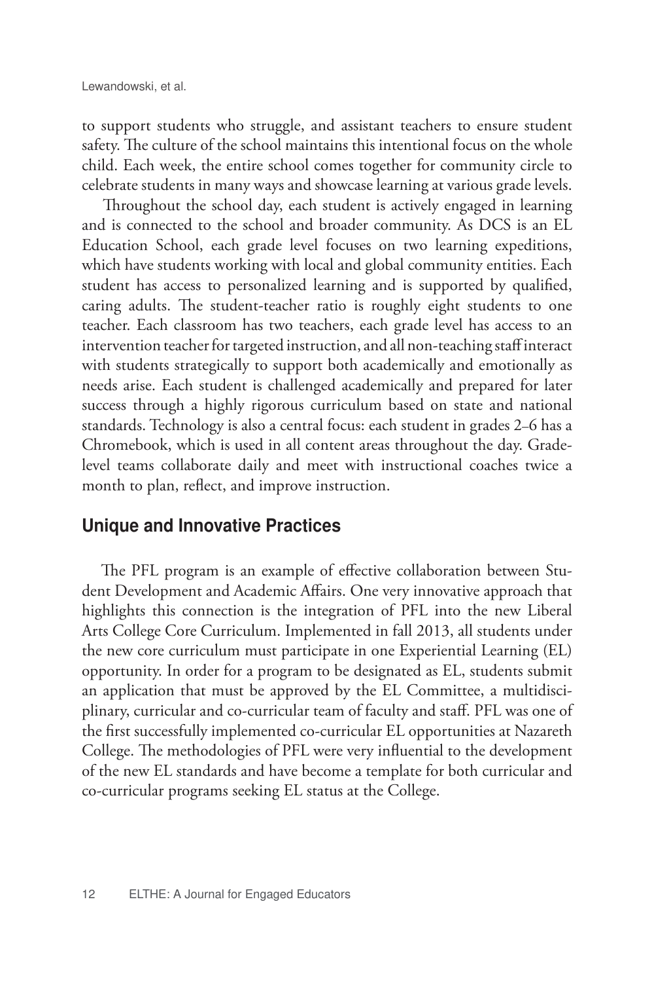to support students who struggle, and assistant teachers to ensure student safety. The culture of the school maintains this intentional focus on the whole child. Each week, the entire school comes together for community circle to celebrate students in many ways and showcase learning at various grade levels.

Throughout the school day, each student is actively engaged in learning and is connected to the school and broader community. As DCS is an EL Education School, each grade level focuses on two learning expeditions, which have students working with local and global community entities. Each student has access to personalized learning and is supported by qualified, caring adults. The student-teacher ratio is roughly eight students to one teacher. Each classroom has two teachers, each grade level has access to an intervention teacher for targeted instruction, and all non-teaching staff interact with students strategically to support both academically and emotionally as needs arise. Each student is challenged academically and prepared for later success through a highly rigorous curriculum based on state and national standards. Technology is also a central focus: each student in grades 2–6 has a Chromebook, which is used in all content areas throughout the day. Gradelevel teams collaborate daily and meet with instructional coaches twice a month to plan, reflect, and improve instruction.

#### Unique and Innovative Practices

 The PFL program is an example of effective collaboration between Student Development and Academic Affairs. One very innovative approach that highlights this connection is the integration of PFL into the new Liberal Arts College Core Curriculum. Implemented in fall 2013, all students under the new core curriculum must participate in one Experiential Learning (EL) opportunity. In order for a program to be designated as EL, students submit an application that must be approved by the EL Committee, a multidisciplinary, curricular and co-curricular team of faculty and staff. PFL was one of the first successfully implemented co-curricular EL opportunities at Nazareth College. The methodologies of PFL were very influential to the development of the new EL standards and have become a template for both curricular and co-curricular programs seeking EL status at the College.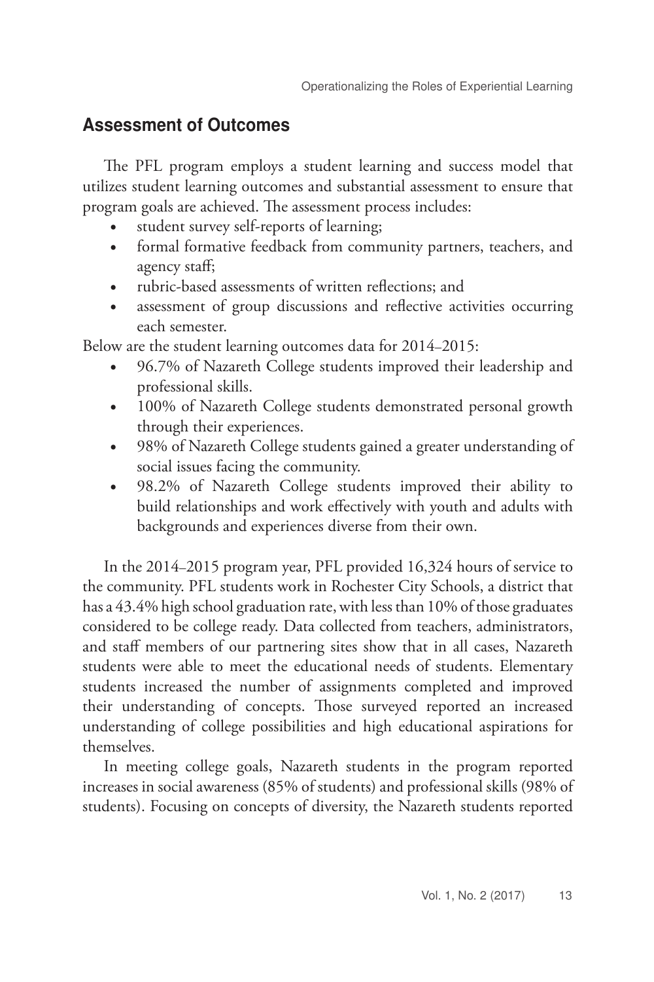### Assessment of Outcomes

The PFL program employs a student learning and success model that utilizes student learning outcomes and substantial assessment to ensure that program goals are achieved. The assessment process includes:

- student survey self-reports of learning;
- formal formative feedback from community partners, teachers, and agency staff;
- rubric-based assessments of written reflections; and
- assessment of group discussions and reflective activities occurring each semester.

Below are the student learning outcomes data for 2014–2015:

- 96.7% of Nazareth College students improved their leadership and professional skills.
- 100% of Nazareth College students demonstrated personal growth through their experiences.
- 98% of Nazareth College students gained a greater understanding of social issues facing the community.
- 98.2% of Nazareth College students improved their ability to build relationships and work effectively with youth and adults with backgrounds and experiences diverse from their own.

In the 2014–2015 program year, PFL provided 16,324 hours of service to the community. PFL students work in Rochester City Schools, a district that has a 43.4% high school graduation rate, with less than 10% of those graduates considered to be college ready. Data collected from teachers, administrators, and staff members of our partnering sites show that in all cases, Nazareth students were able to meet the educational needs of students. Elementary students increased the number of assignments completed and improved their understanding of concepts. Those surveyed reported an increased understanding of college possibilities and high educational aspirations for themselves.

In meeting college goals, Nazareth students in the program reported increases in social awareness (85% of students) and professional skills (98% of students). Focusing on concepts of diversity, the Nazareth students reported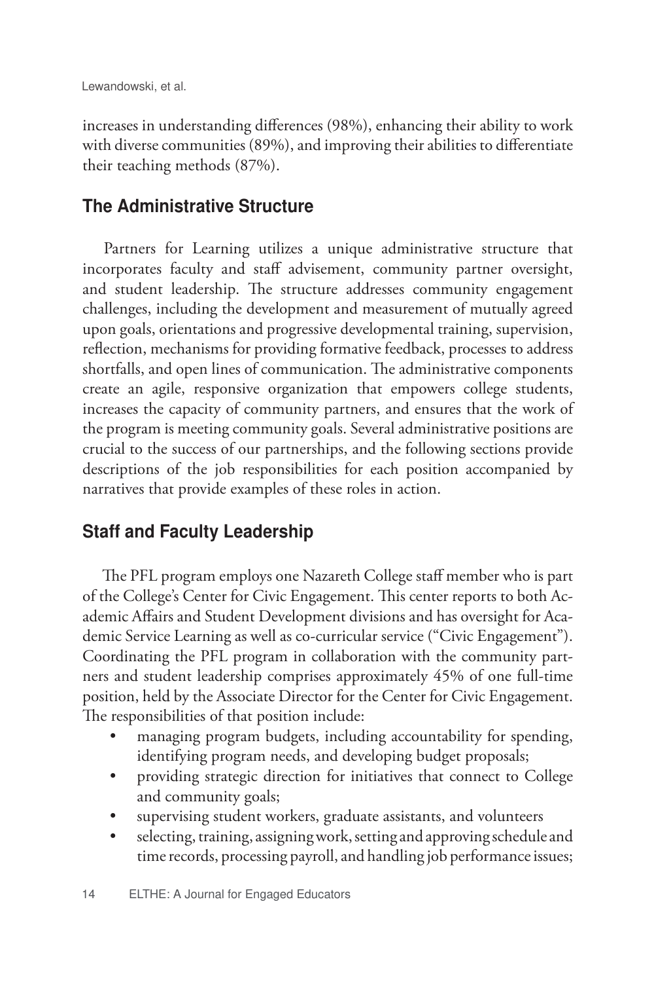increases in understanding differences (98%), enhancing their ability to work with diverse communities (89%), and improving their abilities to differentiate their teaching methods (87%).

### The Administrative Structure

Partners for Learning utilizes a unique administrative structure that incorporates faculty and staff advisement, community partner oversight, and student leadership. The structure addresses community engagement challenges, including the development and measurement of mutually agreed upon goals, orientations and progressive developmental training, supervision, reflection, mechanisms for providing formative feedback, processes to address shortfalls, and open lines of communication. The administrative components create an agile, responsive organization that empowers college students, increases the capacity of community partners, and ensures that the work of the program is meeting community goals. Several administrative positions are crucial to the success of our partnerships, and the following sections provide descriptions of the job responsibilities for each position accompanied by narratives that provide examples of these roles in action.

### Staff and Faculty Leadership

 The PFL program employs one Nazareth College staff member who is part of the College's Center for Civic Engagement. This center reports to both Academic Affairs and Student Development divisions and has oversight for Academic Service Learning as well as co-curricular service ("Civic Engagement"). Coordinating the PFL program in collaboration with the community partners and student leadership comprises approximately 45% of one full-time position, held by the Associate Director for the Center for Civic Engagement. The responsibilities of that position include:

- managing program budgets, including accountability for spending, identifying program needs, and developing budget proposals;
- providing strategic direction for initiatives that connect to College and community goals;
- supervising student workers, graduate assistants, and volunteers
- selecting, training, assigning work, setting and approving schedule and time records, processing payroll, and handling job performance issues;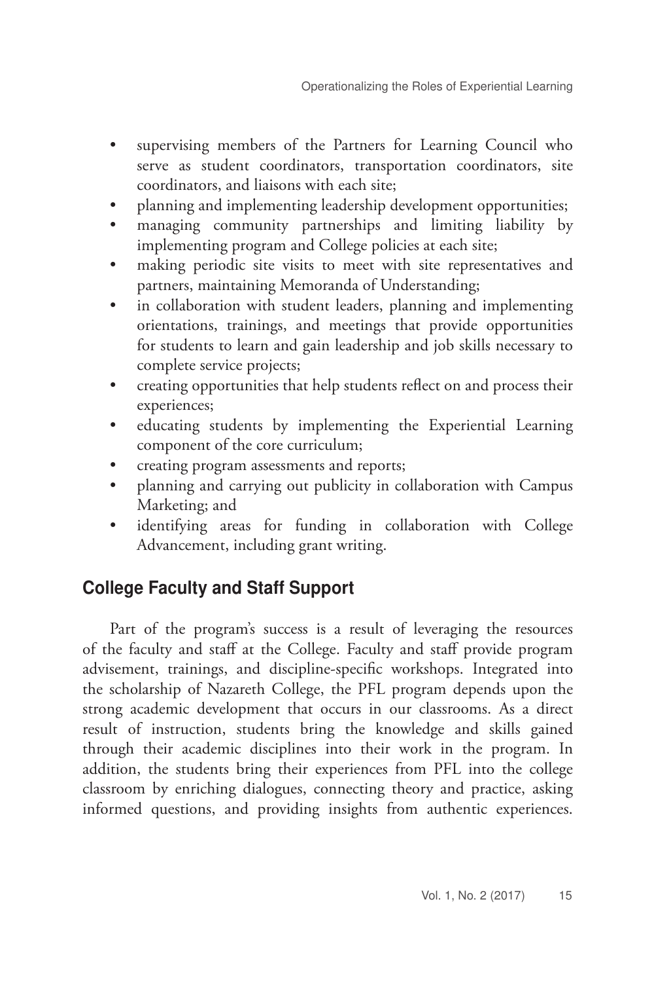- supervising members of the Partners for Learning Council who serve as student coordinators, transportation coordinators, site coordinators, and liaisons with each site;
- planning and implementing leadership development opportunities;
- managing community partnerships and limiting liability by implementing program and College policies at each site;
- making periodic site visits to meet with site representatives and partners, maintaining Memoranda of Understanding;
- in collaboration with student leaders, planning and implementing orientations, trainings, and meetings that provide opportunities for students to learn and gain leadership and job skills necessary to complete service projects;
- creating opportunities that help students reflect on and process their experiences;
- educating students by implementing the Experiential Learning component of the core curriculum;
- creating program assessments and reports;
- planning and carrying out publicity in collaboration with Campus Marketing; and
- identifying areas for funding in collaboration with College Advancement, including grant writing.

## College Faculty and Staff Support

Part of the program's success is a result of leveraging the resources of the faculty and staff at the College. Faculty and staff provide program advisement, trainings, and discipline-specific workshops. Integrated into the scholarship of Nazareth College, the PFL program depends upon the strong academic development that occurs in our classrooms. As a direct result of instruction, students bring the knowledge and skills gained through their academic disciplines into their work in the program. In addition, the students bring their experiences from PFL into the college classroom by enriching dialogues, connecting theory and practice, asking informed questions, and providing insights from authentic experiences.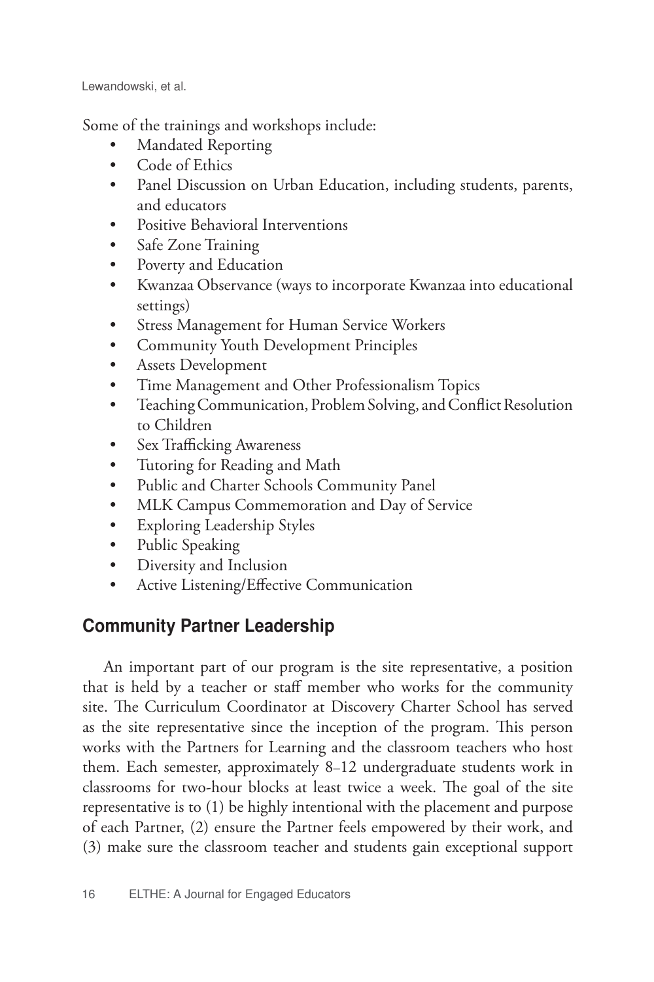Some of the trainings and workshops include:

- Mandated Reporting
- Code of Ethics
- Panel Discussion on Urban Education, including students, parents, and educators
- Positive Behavioral Interventions
- Safe Zone Training
- Poverty and Education
- Kwanzaa Observance (ways to incorporate Kwanzaa into educational settings)
- Stress Management for Human Service Workers
- Community Youth Development Principles
- Assets Development
- Time Management and Other Professionalism Topics
- Teaching Communication, Problem Solving, and Conflict Resolution to Children
- Sex Trafficking Awareness
- Tutoring for Reading and Math
- Public and Charter Schools Community Panel
- MLK Campus Commemoration and Day of Service
- Exploring Leadership Styles
- Public Speaking
- Diversity and Inclusion
- Active Listening/Effective Communication

## Community Partner Leadership

An important part of our program is the site representative, a position that is held by a teacher or staff member who works for the community site. The Curriculum Coordinator at Discovery Charter School has served as the site representative since the inception of the program. This person works with the Partners for Learning and the classroom teachers who host them. Each semester, approximately 8–12 undergraduate students work in classrooms for two-hour blocks at least twice a week. The goal of the site representative is to (1) be highly intentional with the placement and purpose of each Partner, (2) ensure the Partner feels empowered by their work, and (3) make sure the classroom teacher and students gain exceptional support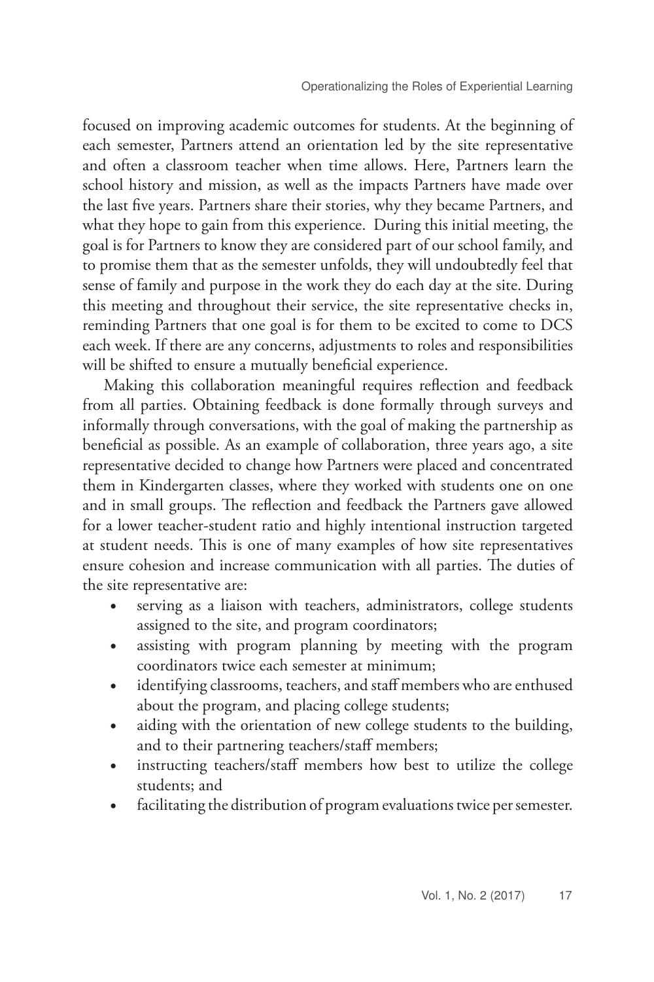focused on improving academic outcomes for students. At the beginning of each semester, Partners attend an orientation led by the site representative and often a classroom teacher when time allows. Here, Partners learn the school history and mission, as well as the impacts Partners have made over the last five years. Partners share their stories, why they became Partners, and what they hope to gain from this experience. During this initial meeting, the goal is for Partners to know they are considered part of our school family, and to promise them that as the semester unfolds, they will undoubtedly feel that sense of family and purpose in the work they do each day at the site. During this meeting and throughout their service, the site representative checks in, reminding Partners that one goal is for them to be excited to come to DCS each week. If there are any concerns, adjustments to roles and responsibilities will be shifted to ensure a mutually beneficial experience.

Making this collaboration meaningful requires reflection and feedback from all parties. Obtaining feedback is done formally through surveys and informally through conversations, with the goal of making the partnership as beneficial as possible. As an example of collaboration, three years ago, a site representative decided to change how Partners were placed and concentrated them in Kindergarten classes, where they worked with students one on one and in small groups. The reflection and feedback the Partners gave allowed for a lower teacher-student ratio and highly intentional instruction targeted at student needs. This is one of many examples of how site representatives ensure cohesion and increase communication with all parties. The duties of the site representative are:

- serving as a liaison with teachers, administrators, college students assigned to the site, and program coordinators;
- assisting with program planning by meeting with the program coordinators twice each semester at minimum;
- identifying classrooms, teachers, and staff members who are enthused about the program, and placing college students;
- aiding with the orientation of new college students to the building, and to their partnering teachers/staff members;
- instructing teachers/staff members how best to utilize the college students; and
- facilitating the distribution of program evaluations twice per semester.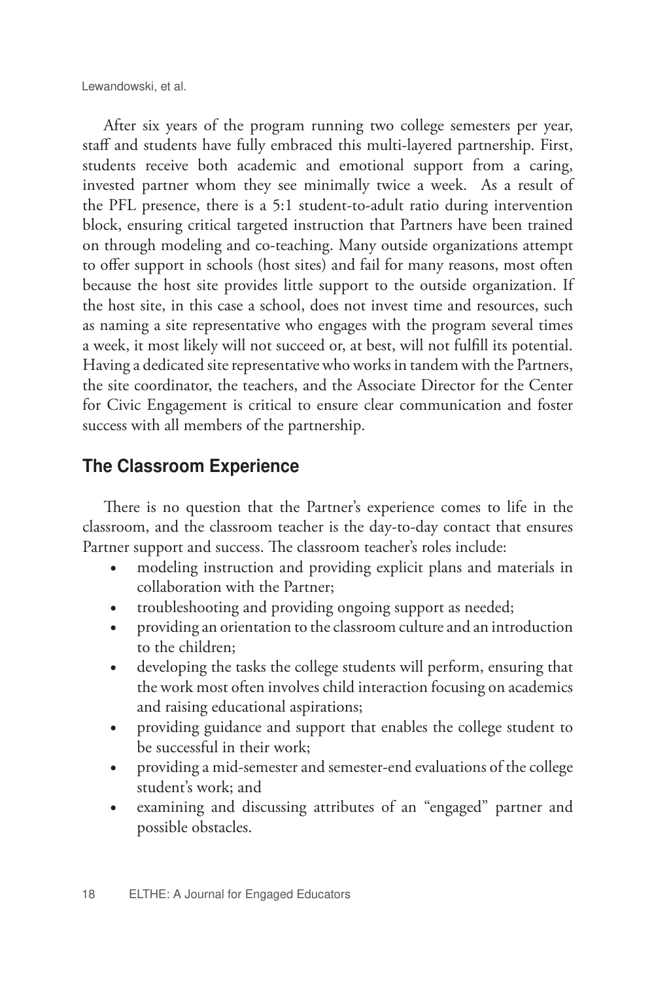After six years of the program running two college semesters per year, staff and students have fully embraced this multi-layered partnership. First, students receive both academic and emotional support from a caring, invested partner whom they see minimally twice a week. As a result of the PFL presence, there is a 5:1 student-to-adult ratio during intervention block, ensuring critical targeted instruction that Partners have been trained on through modeling and co-teaching. Many outside organizations attempt to offer support in schools (host sites) and fail for many reasons, most often because the host site provides little support to the outside organization. If the host site, in this case a school, does not invest time and resources, such as naming a site representative who engages with the program several times a week, it most likely will not succeed or, at best, will not fulfill its potential. Having a dedicated site representative who works in tandem with the Partners, the site coordinator, the teachers, and the Associate Director for the Center for Civic Engagement is critical to ensure clear communication and foster success with all members of the partnership.

## The Classroom Experience

There is no question that the Partner's experience comes to life in the classroom, and the classroom teacher is the day-to-day contact that ensures Partner support and success. The classroom teacher's roles include:

- modeling instruction and providing explicit plans and materials in collaboration with the Partner;
- troubleshooting and providing ongoing support as needed;
- providing an orientation to the classroom culture and an introduction to the children;
- developing the tasks the college students will perform, ensuring that the work most often involves child interaction focusing on academics and raising educational aspirations;
- providing guidance and support that enables the college student to be successful in their work;
- providing a mid-semester and semester-end evaluations of the college student's work; and
- examining and discussing attributes of an "engaged" partner and possible obstacles.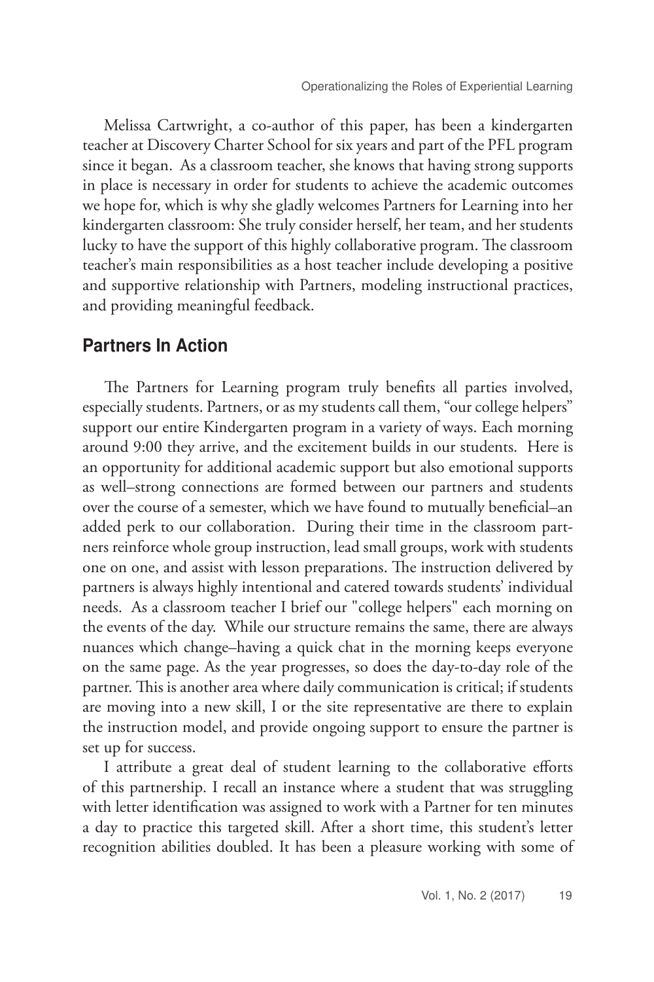Melissa Cartwright, a co-author of this paper, has been a kindergarten teacher at Discovery Charter School for six years and part of the PFL program since it began. As a classroom teacher, she knows that having strong supports in place is necessary in order for students to achieve the academic outcomes we hope for, which is why she gladly welcomes Partners for Learning into her kindergarten classroom: She truly consider herself, her team, and her students lucky to have the support of this highly collaborative program. The classroom teacher's main responsibilities as a host teacher include developing a positive and supportive relationship with Partners, modeling instructional practices, and providing meaningful feedback.

#### Partners In Action

 The Partners for Learning program truly benefits all parties involved, especially students. Partners, or as my students call them, "our college helpers" support our entire Kindergarten program in a variety of ways. Each morning around 9:00 they arrive, and the excitement builds in our students. Here is an opportunity for additional academic support but also emotional supports as well–strong connections are formed between our partners and students over the course of a semester, which we have found to mutually beneficial–an added perk to our collaboration. During their time in the classroom partners reinforce whole group instruction, lead small groups, work with students one on one, and assist with lesson preparations. The instruction delivered by partners is always highly intentional and catered towards students' individual needs. As a classroom teacher I brief our "college helpers" each morning on the events of the day. While our structure remains the same, there are always nuances which change–having a quick chat in the morning keeps everyone on the same page. As the year progresses, so does the day-to-day role of the partner. This is another area where daily communication is critical; if students are moving into a new skill, I or the site representative are there to explain the instruction model, and provide ongoing support to ensure the partner is set up for success.

I attribute a great deal of student learning to the collaborative efforts of this partnership. I recall an instance where a student that was struggling with letter identification was assigned to work with a Partner for ten minutes a day to practice this targeted skill. After a short time, this student's letter recognition abilities doubled. It has been a pleasure working with some of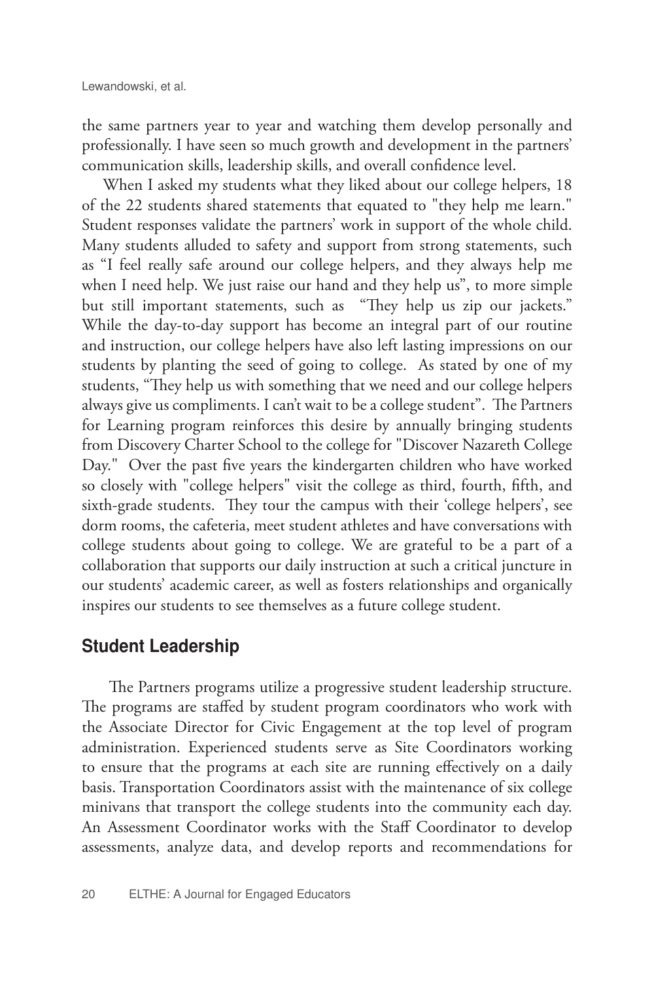the same partners year to year and watching them develop personally and professionally. I have seen so much growth and development in the partners' communication skills, leadership skills, and overall confidence level.

When I asked my students what they liked about our college helpers, 18 of the 22 students shared statements that equated to "they help me learn." Student responses validate the partners' work in support of the whole child. Many students alluded to safety and support from strong statements, such as "I feel really safe around our college helpers, and they always help me when I need help. We just raise our hand and they help us", to more simple but still important statements, such as "They help us zip our jackets." While the day-to-day support has become an integral part of our routine and instruction, our college helpers have also left lasting impressions on our students by planting the seed of going to college. As stated by one of my students, "They help us with something that we need and our college helpers always give us compliments. I can't wait to be a college student". The Partners for Learning program reinforces this desire by annually bringing students from Discovery Charter School to the college for "Discover Nazareth College Day." Over the past five years the kindergarten children who have worked so closely with "college helpers" visit the college as third, fourth, fifth, and sixth-grade students. They tour the campus with their 'college helpers', see dorm rooms, the cafeteria, meet student athletes and have conversations with college students about going to college. We are grateful to be a part of a collaboration that supports our daily instruction at such a critical juncture in our students' academic career, as well as fosters relationships and organically inspires our students to see themselves as a future college student.

#### Student Leadership

The Partners programs utilize a progressive student leadership structure. The programs are staffed by student program coordinators who work with the Associate Director for Civic Engagement at the top level of program administration. Experienced students serve as Site Coordinators working to ensure that the programs at each site are running effectively on a daily basis. Transportation Coordinators assist with the maintenance of six college minivans that transport the college students into the community each day. An Assessment Coordinator works with the Staff Coordinator to develop assessments, analyze data, and develop reports and recommendations for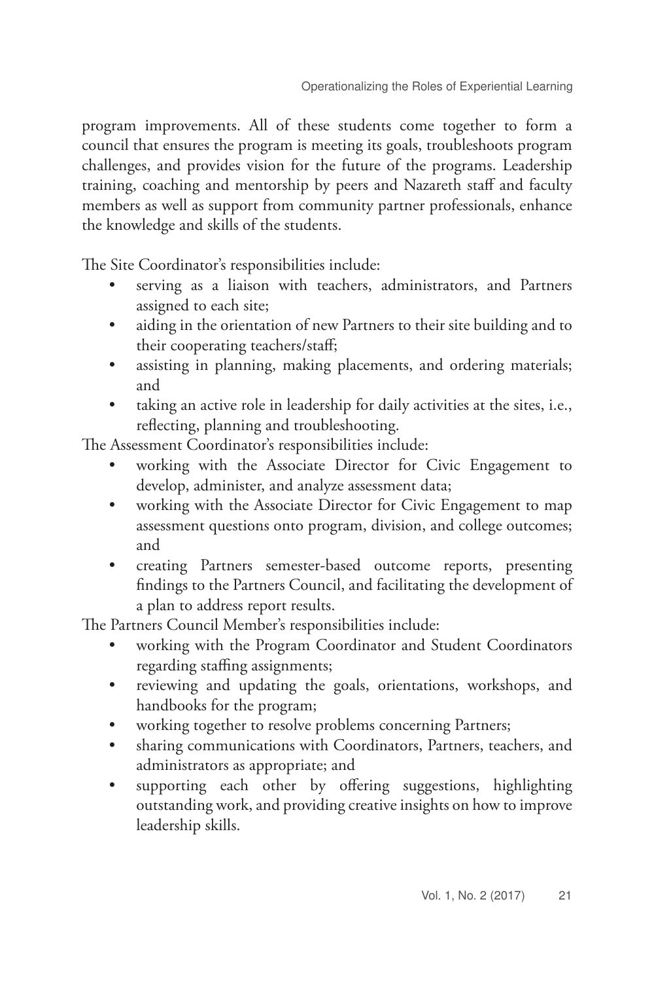program improvements. All of these students come together to form a council that ensures the program is meeting its goals, troubleshoots program challenges, and provides vision for the future of the programs. Leadership training, coaching and mentorship by peers and Nazareth staff and faculty members as well as support from community partner professionals, enhance the knowledge and skills of the students.

The Site Coordinator's responsibilities include:

- serving as a liaison with teachers, administrators, and Partners assigned to each site;
- aiding in the orientation of new Partners to their site building and to their cooperating teachers/staff;
- assisting in planning, making placements, and ordering materials; and
- taking an active role in leadership for daily activities at the sites, i.e., reflecting, planning and troubleshooting.

The Assessment Coordinator's responsibilities include:

- working with the Associate Director for Civic Engagement to develop, administer, and analyze assessment data;
- working with the Associate Director for Civic Engagement to map assessment questions onto program, division, and college outcomes; and
- creating Partners semester-based outcome reports, presenting findings to the Partners Council, and facilitating the development of a plan to address report results.

The Partners Council Member's responsibilities include:

- working with the Program Coordinator and Student Coordinators regarding staffing assignments;
- reviewing and updating the goals, orientations, workshops, and handbooks for the program;
- working together to resolve problems concerning Partners;
- sharing communications with Coordinators, Partners, teachers, and administrators as appropriate; and
- supporting each other by offering suggestions, highlighting outstanding work, and providing creative insights on how to improve leadership skills.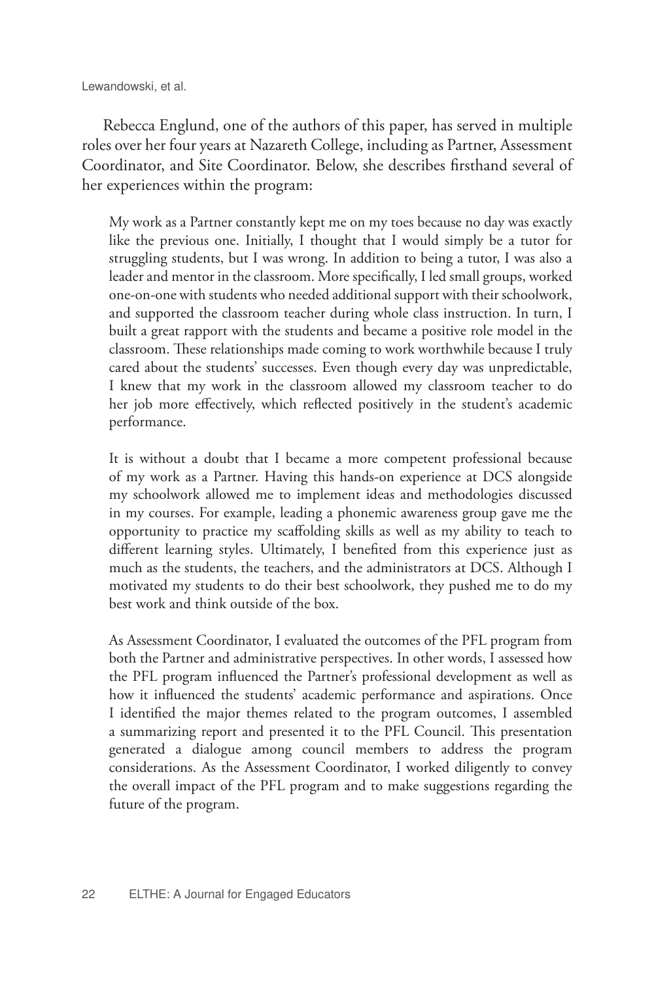Rebecca Englund, one of the authors of this paper, has served in multiple roles over her four years at Nazareth College, including as Partner, Assessment Coordinator, and Site Coordinator. Below, she describes firsthand several of her experiences within the program:

My work as a Partner constantly kept me on my toes because no day was exactly like the previous one. Initially, I thought that I would simply be a tutor for struggling students, but I was wrong. In addition to being a tutor, I was also a leader and mentor in the classroom. More specifically, I led small groups, worked one-on-one with students who needed additional support with their schoolwork, and supported the classroom teacher during whole class instruction. In turn, I built a great rapport with the students and became a positive role model in the classroom. These relationships made coming to work worthwhile because I truly cared about the students' successes. Even though every day was unpredictable, I knew that my work in the classroom allowed my classroom teacher to do her job more effectively, which reflected positively in the student's academic performance.

It is without a doubt that I became a more competent professional because of my work as a Partner. Having this hands-on experience at DCS alongside my schoolwork allowed me to implement ideas and methodologies discussed in my courses. For example, leading a phonemic awareness group gave me the opportunity to practice my scaffolding skills as well as my ability to teach to different learning styles. Ultimately, I benefited from this experience just as much as the students, the teachers, and the administrators at DCS. Although I motivated my students to do their best schoolwork, they pushed me to do my best work and think outside of the box.

As Assessment Coordinator, I evaluated the outcomes of the PFL program from both the Partner and administrative perspectives. In other words, I assessed how the PFL program influenced the Partner's professional development as well as how it influenced the students' academic performance and aspirations. Once I identified the major themes related to the program outcomes, I assembled a summarizing report and presented it to the PFL Council. This presentation generated a dialogue among council members to address the program considerations. As the Assessment Coordinator, I worked diligently to convey the overall impact of the PFL program and to make suggestions regarding the future of the program.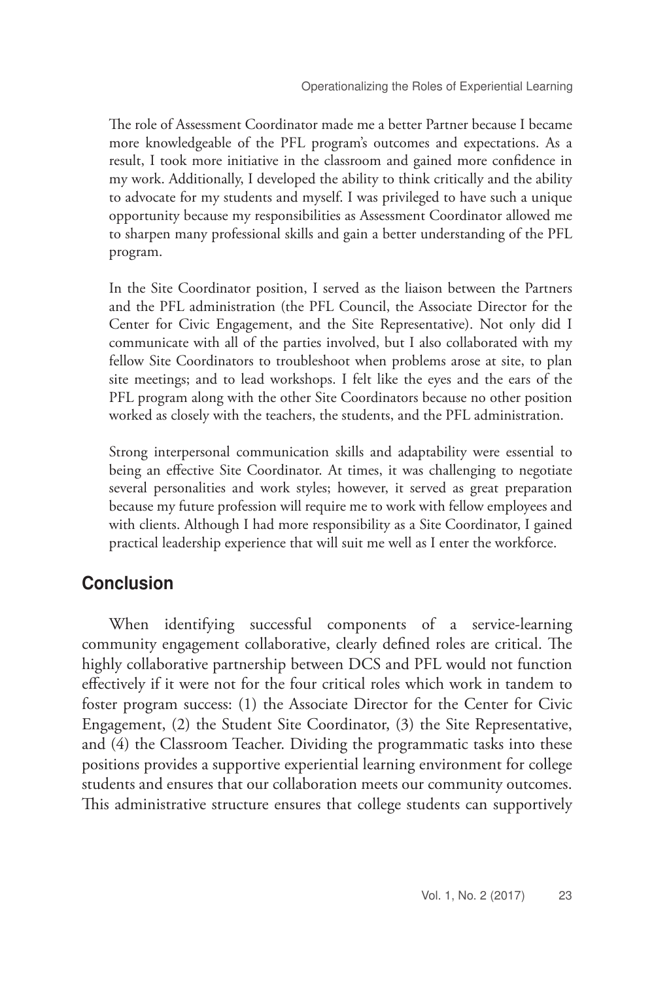The role of Assessment Coordinator made me a better Partner because I became more knowledgeable of the PFL program's outcomes and expectations. As a result, I took more initiative in the classroom and gained more confidence in my work. Additionally, I developed the ability to think critically and the ability to advocate for my students and myself. I was privileged to have such a unique opportunity because my responsibilities as Assessment Coordinator allowed me to sharpen many professional skills and gain a better understanding of the PFL program.

In the Site Coordinator position, I served as the liaison between the Partners and the PFL administration (the PFL Council, the Associate Director for the Center for Civic Engagement, and the Site Representative). Not only did I communicate with all of the parties involved, but I also collaborated with my fellow Site Coordinators to troubleshoot when problems arose at site, to plan site meetings; and to lead workshops. I felt like the eyes and the ears of the PFL program along with the other Site Coordinators because no other position worked as closely with the teachers, the students, and the PFL administration.

Strong interpersonal communication skills and adaptability were essential to being an effective Site Coordinator. At times, it was challenging to negotiate several personalities and work styles; however, it served as great preparation because my future profession will require me to work with fellow employees and with clients. Although I had more responsibility as a Site Coordinator, I gained practical leadership experience that will suit me well as I enter the workforce.

#### Conclusion

When identifying successful components of a service-learning community engagement collaborative, clearly defined roles are critical. The highly collaborative partnership between DCS and PFL would not function effectively if it were not for the four critical roles which work in tandem to foster program success: (1) the Associate Director for the Center for Civic Engagement, (2) the Student Site Coordinator, (3) the Site Representative, and (4) the Classroom Teacher. Dividing the programmatic tasks into these positions provides a supportive experiential learning environment for college students and ensures that our collaboration meets our community outcomes. This administrative structure ensures that college students can supportively